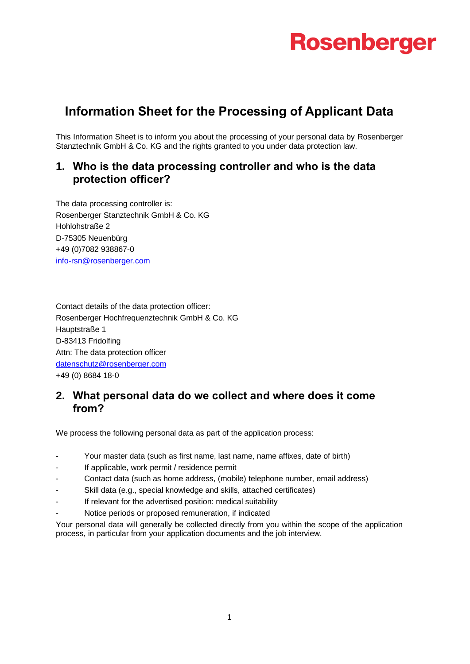# **Information Sheet for the Processing of Applicant Data**

This Information Sheet is to inform you about the processing of your personal data by Rosenberger Stanztechnik GmbH & Co. KG and the rights granted to you under data protection law.

### **1. Who is the data processing controller and who is the data protection officer?**

The data processing controller is: Rosenberger Stanztechnik GmbH & Co. KG Hohlohstraße 2 D-75305 Neuenbürg +49 (0)7082 938867-0 [info-rsn@rosenberger.com](mailto:info-rsn@rosenberger.com)

Contact details of the data protection officer: Rosenberger Hochfrequenztechnik GmbH & Co. KG Hauptstraße 1 D-83413 Fridolfing Attn: The data protection officer [datenschutz@rosenberger.com](mailto:datenschutz@rosenberger.com) +49 (0) 8684 18-0

#### **2. What personal data do we collect and where does it come from?**

We process the following personal data as part of the application process:

- Your master data (such as first name, last name, name affixes, date of birth)
- If applicable, work permit / residence permit
- Contact data (such as home address, (mobile) telephone number, email address)
- Skill data (e.g., special knowledge and skills, attached certificates)
- If relevant for the advertised position: medical suitability
- Notice periods or proposed remuneration, if indicated

Your personal data will generally be collected directly from you within the scope of the application process, in particular from your application documents and the job interview.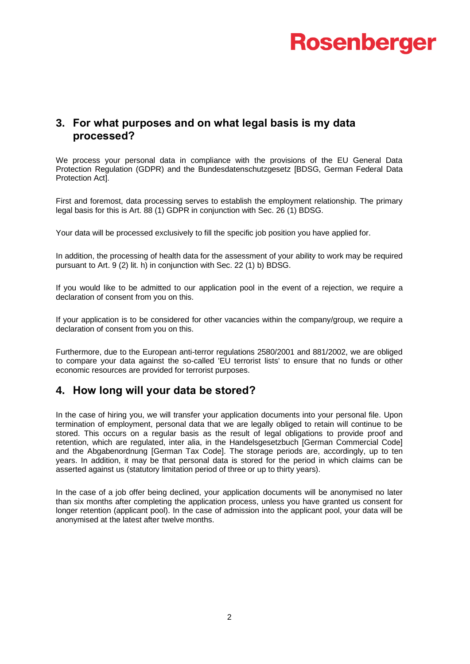#### **3. For what purposes and on what legal basis is my data processed?**

We process your personal data in compliance with the provisions of the EU General Data Protection Regulation (GDPR) and the Bundesdatenschutzgesetz [BDSG, German Federal Data Protection Act].

First and foremost, data processing serves to establish the employment relationship. The primary legal basis for this is Art. 88 (1) GDPR in conjunction with Sec. 26 (1) BDSG.

Your data will be processed exclusively to fill the specific job position you have applied for.

In addition, the processing of health data for the assessment of your ability to work may be required pursuant to Art. 9 (2) lit. h) in conjunction with Sec. 22 (1) b) BDSG.

If you would like to be admitted to our application pool in the event of a rejection, we require a declaration of consent from you on this.

If your application is to be considered for other vacancies within the company/group, we require a declaration of consent from you on this.

Furthermore, due to the European anti-terror regulations 2580/2001 and 881/2002, we are obliged to compare your data against the so-called 'EU terrorist lists' to ensure that no funds or other economic resources are provided for terrorist purposes.

#### **4. How long will your data be stored?**

In the case of hiring you, we will transfer your application documents into your personal file. Upon termination of employment, personal data that we are legally obliged to retain will continue to be stored. This occurs on a regular basis as the result of legal obligations to provide proof and retention, which are regulated, inter alia, in the Handelsgesetzbuch [German Commercial Code] and the Abgabenordnung [German Tax Code]. The storage periods are, accordingly, up to ten years. In addition, it may be that personal data is stored for the period in which claims can be asserted against us (statutory limitation period of three or up to thirty years).

In the case of a job offer being declined, your application documents will be anonymised no later than six months after completing the application process, unless you have granted us consent for longer retention (applicant pool). In the case of admission into the applicant pool, your data will be anonymised at the latest after twelve months.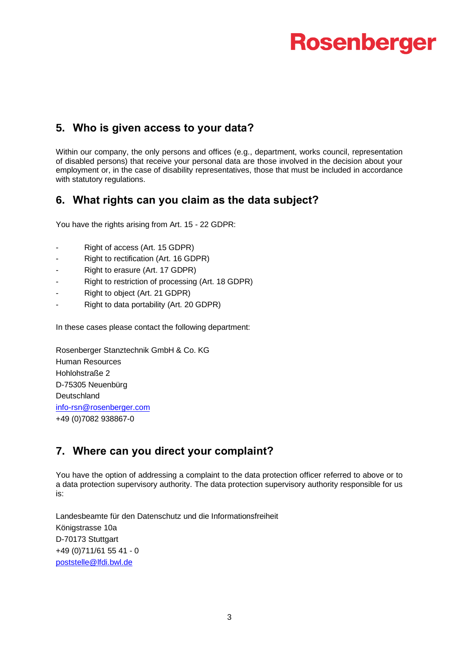# **5. Who is given access to your data?**

Within our company, the only persons and offices (e.g., department, works council, representation of disabled persons) that receive your personal data are those involved in the decision about your employment or, in the case of disability representatives, those that must be included in accordance with statutory regulations.

### **6. What rights can you claim as the data subject?**

You have the rights arising from Art. 15 - 22 GDPR:

- Right of access (Art. 15 GDPR)
- Right to rectification (Art. 16 GDPR)
- Right to erasure (Art. 17 GDPR)
- Right to restriction of processing (Art. 18 GDPR)
- Right to object (Art. 21 GDPR)
- Right to data portability (Art. 20 GDPR)

In these cases please contact the following department:

Rosenberger Stanztechnik GmbH & Co. KG Human Resources Hohlohstraße 2 D-75305 Neuenbürg **Deutschland** [info-rsn@rosenberger.com](mailto:info-rsn@rosenberger.com) +49 (0)7082 938867-0

### **7. Where can you direct your complaint?**

You have the option of addressing a complaint to the data protection officer referred to above or to a data protection supervisory authority. The data protection supervisory authority responsible for us is:

Landesbeamte für den Datenschutz und die Informationsfreiheit Königstrasse 10a D-70173 Stuttgart +49 (0)711/61 55 41 - 0 [poststelle@lfdi.bwl.de](mailto:poststelle@lfdi.bwl.de)